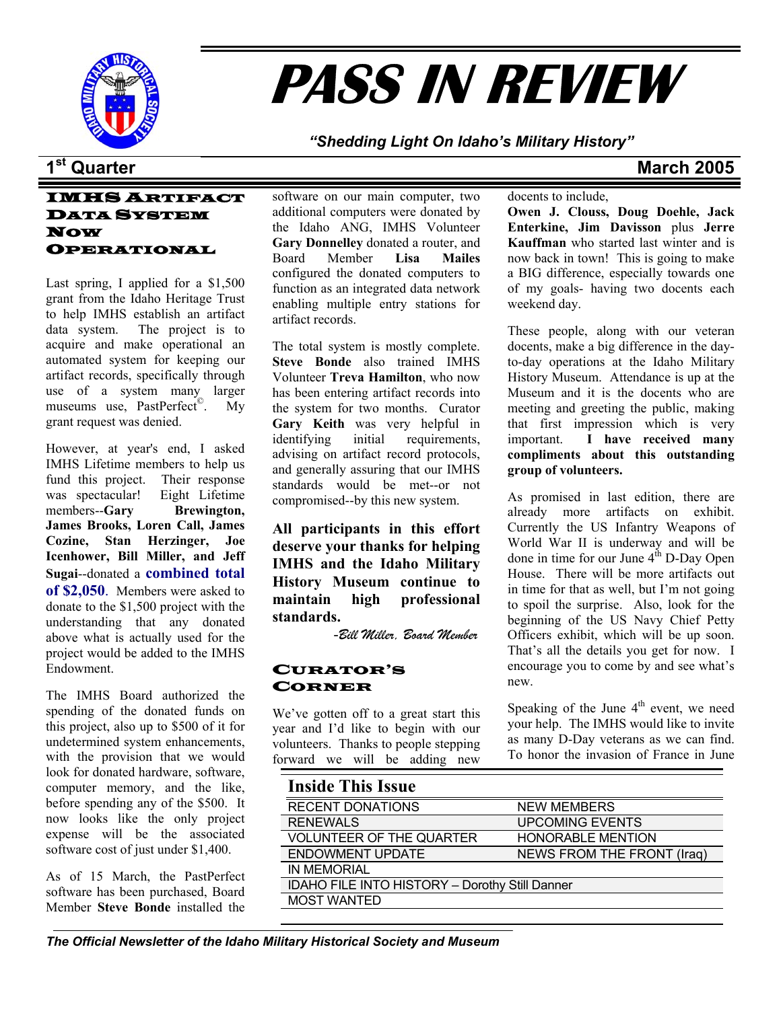

# **PASS IN REVIEW**

*"Shedding Light On Idaho's Military History"* 

## **1st Quarter March 2005**

## IMHS ARTIFACT DATA SYSTEM NOW OPERATIONAL

Last spring, I applied for a \$1,500 grant from the Idaho Heritage Trust to help IMHS establish an artifact data system. The project is to acquire and make operational an automated system for keeping our artifact records, specifically through use of a system many larger museums use, PastPerfect<sup>©</sup>. My grant request was denied.

However, at year's end, I asked IMHS Lifetime members to help us fund this project. Their response was spectacular! Eight Lifetime members--**Gary Brewington, James Brooks, Loren Call, James Cozine, Stan Herzinger, Joe Icenhower, Bill Miller, and Jeff Sugai**--donated a **combined total of \$2,050**. Members were asked to donate to the \$1,500 project with the understanding that any donated above what is actually used for the project would be added to the IMHS Endowment.

The IMHS Board authorized the spending of the donated funds on this project, also up to \$500 of it for undetermined system enhancements, with the provision that we would look for donated hardware, software, computer memory, and the like, before spending any of the \$500. It now looks like the only project expense will be the associated software cost of just under \$1,400.

As of 15 March, the PastPerfect software has been purchased, Board Member **Steve Bonde** installed the

software on our main computer, two additional computers were donated by the Idaho ANG, IMHS Volunteer **Gary Donnelley** donated a router, and Board Member **Lisa Mailes** configured the donated computers to function as an integrated data network enabling multiple entry stations for artifact records.

The total system is mostly complete. **Steve Bonde** also trained IMHS Volunteer **Treva Hamilton**, who now has been entering artifact records into the system for two months. Curator **Gary Keith** was very helpful in identifying initial requirements, advising on artifact record protocols, and generally assuring that our IMHS standards would be met--or not compromised--by this new system.

**All participants in this effort deserve your thanks for helping IMHS and the Idaho Military History Museum continue to maintain high professional standards.** 

-*Bill Miller, Board Member*

#### CURATOR'S CORNER

We've gotten off to a great start this year and I'd like to begin with our volunteers. Thanks to people stepping forward we will be adding new

#### docents to include,

**Owen J. Clouss, Doug Doehle, Jack Enterkine, Jim Davisson** plus **Jerre Kauffman** who started last winter and is now back in town! This is going to make a BIG difference, especially towards one of my goals- having two docents each weekend day.

These people, along with our veteran docents, make a big difference in the dayto-day operations at the Idaho Military History Museum. Attendance is up at the Museum and it is the docents who are meeting and greeting the public, making that first impression which is very important. **I have received many compliments about this outstanding group of volunteers.** 

As promised in last edition, there are already more artifacts on exhibit. Currently the US Infantry Weapons of World War II is underway and will be done in time for our June  $4<sup>th</sup>$  D-Day Open House. There will be more artifacts out in time for that as well, but I'm not going to spoil the surprise. Also, look for the beginning of the US Navy Chief Petty Officers exhibit, which will be up soon. That's all the details you get for now. I encourage you to come by and see what's new.

Speaking of the June  $4<sup>th</sup>$  event, we need your help. The IMHS would like to invite as many D-Day veterans as we can find. To honor the invasion of France in June

| <b>Inside This Issue</b>                              |                            |
|-------------------------------------------------------|----------------------------|
| <b>RECENT DONATIONS</b>                               | <b>NEW MEMBERS</b>         |
| <b>RENEWALS</b>                                       | <b>UPCOMING EVENTS</b>     |
| <b>VOLUNTEER OF THE QUARTER</b>                       | <b>HONORABLE MENTION</b>   |
| <b>ENDOWMENT UPDATE</b>                               | NEWS FROM THE FRONT (Iraq) |
| <b>IN MEMORIAL</b>                                    |                            |
| <b>IDAHO FILE INTO HISTORY - Dorothy Still Danner</b> |                            |
| <b>MOST WANTED</b>                                    |                            |
|                                                       |                            |

#### *The Official Newsletter of the Idaho Military Historical Society and Museum*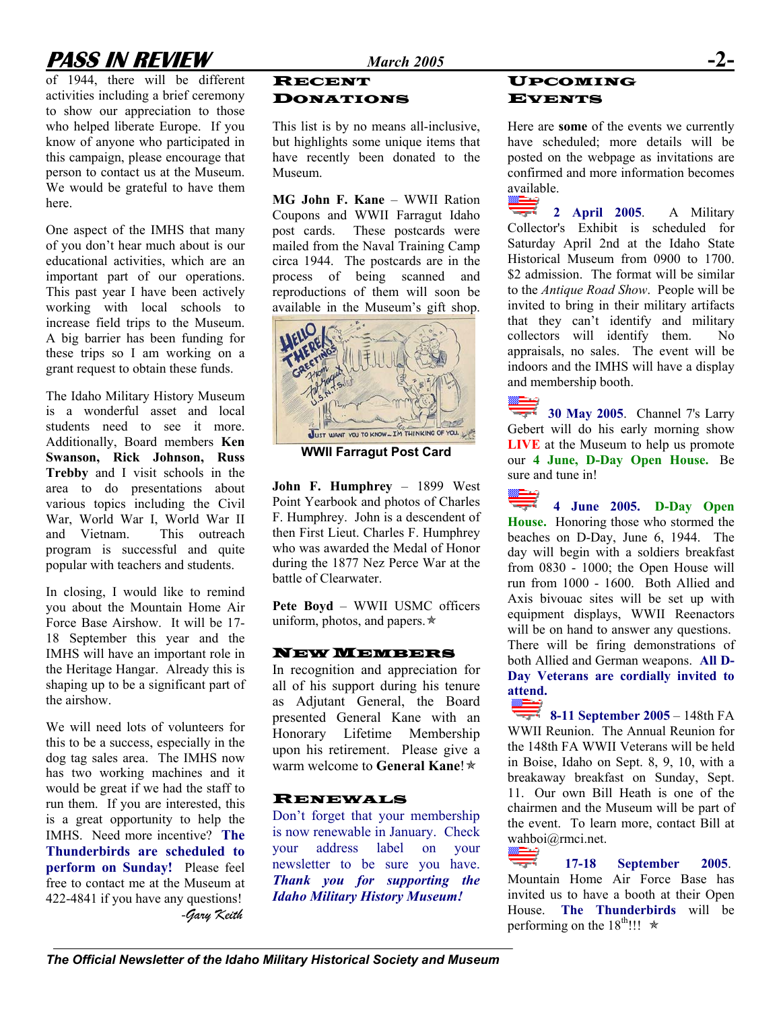## **PASS IN REVIEW** *March 2005* **-2-**

of 1944, there will be different activities including a brief ceremony to show our appreciation to those who helped liberate Europe. If you know of anyone who participated in this campaign, please encourage that person to contact us at the Museum. We would be grateful to have them here.

One aspect of the IMHS that many of you don't hear much about is our educational activities, which are an important part of our operations. This past year I have been actively working with local schools to increase field trips to the Museum. A big barrier has been funding for these trips so I am working on a grant request to obtain these funds.

The Idaho Military History Museum is a wonderful asset and local students need to see it more. Additionally, Board members **Ken Swanson, Rick Johnson, Russ Trebby** and I visit schools in the area to do presentations about various topics including the Civil War, World War I, World War II and Vietnam. This outreach program is successful and quite popular with teachers and students.

In closing, I would like to remind you about the Mountain Home Air Force Base Airshow. It will be 17- 18 September this year and the IMHS will have an important role in the Heritage Hangar. Already this is shaping up to be a significant part of the airshow.

We will need lots of volunteers for this to be a success, especially in the dog tag sales area. The IMHS now has two working machines and it would be great if we had the staff to run them. If you are interested, this is a great opportunity to help the IMHS. Need more incentive? **The Thunderbirds are scheduled to perform on Sunday!** Please feel free to contact me at the Museum at 422-4841 if you have any questions!

#### RECENT DONATIONS

This list is by no means all-inclusive, but highlights some unique items that have recently been donated to the Museum.

**MG John F. Kane** – WWII Ration Coupons and WWII Farragut Idaho post cards. These postcards were mailed from the Naval Training Camp circa 1944. The postcards are in the process of being scanned and reproductions of them will soon be available in the Museum's gift shop.



**WWII Farragut Post Card**

**John F. Humphrey** – 1899 West Point Yearbook and photos of Charles F. Humphrey. John is a descendent of then First Lieut. Charles F. Humphrey who was awarded the Medal of Honor during the 1877 Nez Perce War at the battle of Clearwater.

**Pete Boyd** – WWII USMC officers uniform, photos, and papers. $\star$ 

## NEW MEMBERS

In recognition and appreciation for all of his support during his tenure as Adjutant General, the Board presented General Kane with an Honorary Lifetime Membership upon his retirement. Please give a warm welcome to **General Kane!** 

## RENEWALS

Don't forget that your membership is now renewable in January. Check your address label on your newsletter to be sure you have. *Thank you for supporting the Idaho Military History Museum!*

## UPCOMING EVENTS

Here are **some** of the events we currently have scheduled; more details will be posted on the webpage as invitations are confirmed and more information becomes available.

**2 April 2005**. A Military Collector's Exhibit is scheduled for Saturday April 2nd at the Idaho State Historical Museum from 0900 to 1700. \$2 admission. The format will be similar to the *Antique Road Show*. People will be invited to bring in their military artifacts that they can't identify and military collectors will identify them. No appraisals, no sales. The event will be indoors and the IMHS will have a display and membership booth.

**30 May 2005.** Channel 7's Larry Gebert will do his early morning show **LIVE** at the Museum to help us promote our **4 June, D-Day Open House.** Be sure and tune in!

**4 June 2005. D-Day Open House.** Honoring those who stormed the beaches on D-Day, June 6, 1944. The day will begin with a soldiers breakfast from 0830 - 1000; the Open House will run from 1000 - 1600. Both Allied and Axis bivouac sites will be set up with equipment displays, WWII Reenactors will be on hand to answer any questions. There will be firing demonstrations of both Allied and German weapons. **All D-Day Veterans are cordially invited to attend.** 

**8-11 September 2005** – 148th FA WWII Reunion. The Annual Reunion for the 148th FA WWII Veterans will be held in Boise, Idaho on Sept. 8, 9, 10, with a breakaway breakfast on Sunday, Sept. 11. Our own Bill Heath is one of the chairmen and the Museum will be part of the event. To learn more, contact Bill at [wahboi@rmci.net](mailto:wahboi@rmci.net).

**17-18 September 2005.** Mountain Home Air Force Base has invited us to have a booth at their Open House. **The Thunderbirds** will be *gary Keith* Flouse. The Thunderbir House. The Thunderbir is a metal of the 18<sup>th</sup>!!! ★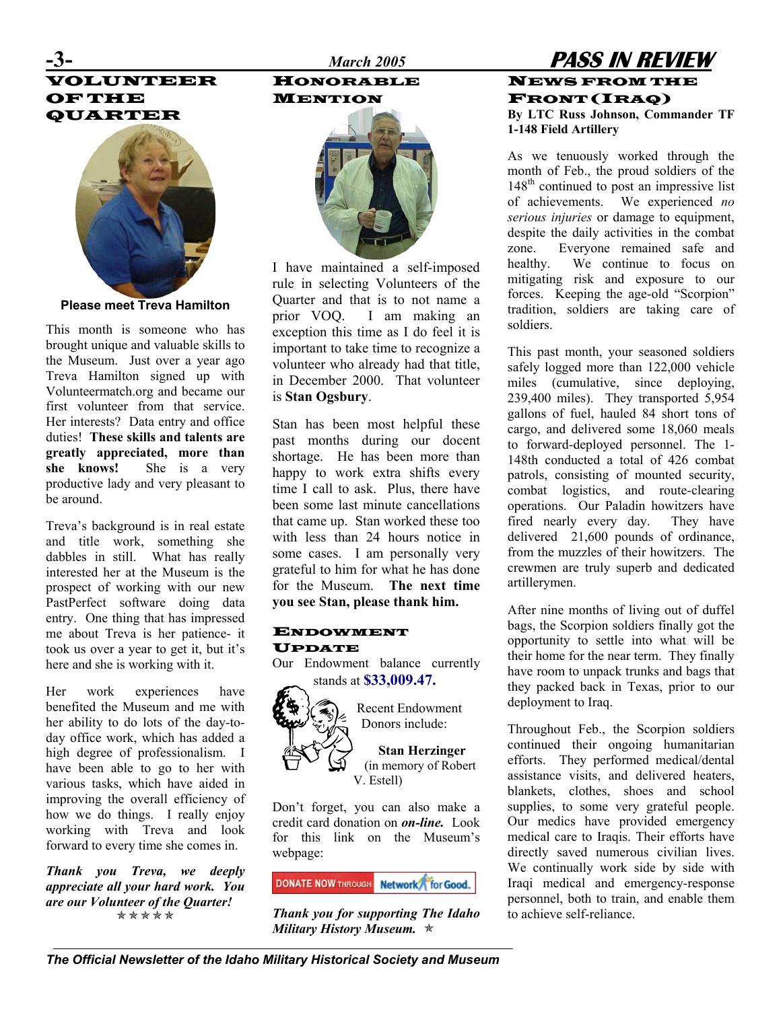## VOLUNTEER OF THE QUARTER



**Please meet Treva Hamilton** 

This month is someone who has brought unique and valuable skills to the Museum. Just over a year ago Treva Hamilton signed up with Volunteermatch.org and became our first volunteer from that service. Her interests? Data entry and office duties! **These skills and talents are greatly appreciated, more than she knows!** She is a very productive lady and very pleasant to be around.

Treva's background is in real estate and title work, something she dabbles in still. What has really interested her at the Museum is the prospect of working with our new PastPerfect software doing data entry. One thing that has impressed me about Treva is her patience- it took us over a year to get it, but it's here and she is working with it.

Her work experiences have **EXECUS** stands at \$33,009.47. benefited the Museum and me with her ability to do lots of the day-today office work, which has added a high degree of professionalism. I have been able to go to her with various tasks, which have aided in improving the overall efficiency of how we do things. I really enjoy working with Treva and look forward to every time she comes in.

*Thank you Treva, we deeply appreciate all your hard work. You are our Volunteer of the Quarter! Thank you for supporting The Idaho* ÕÕÕÕÕ

## HONORABLE MENTION



I have maintained a self-imposed rule in selecting Volunteers of the Quarter and that is to not name a prior VOQ. I am making an exception this time as I do feel it is important to take time to recognize a volunteer who already had that title, in December 2000. That volunteer is **Stan Ogsbury**.

Stan has been most helpful these past months during our docent shortage. He has been more than happy to work extra shifts every time I call to ask. Plus, there have been some last minute cancellations that came up. Stan worked these too with less than 24 hours notice in some cases. I am personally very grateful to him for what he has done for the Museum. **The next time you see Stan, please thank him.** 

#### ENDOWMENT UPDATE

Our Endowment balance currently



Recent Endowment

**Stan Herzinger**  (in memory of Robert V. Estell)

Don't forget, you can also make a credit card donation on *on-line.* Look for this link on the Museum's webpage:

**DONATE NOW THROUGH Network** for Good.

*Military History Museum.*  $\star$ 

## **-3-** *March 2005* **PASS IN REVIEW** NEWS FROM THE FRONT (IRAQ) **By LTC Russ Johnson, Commander TF 1-148 Field Artillery**

As we tenuously worked through the month of Feb., the proud soldiers of the 148<sup>th</sup> continued to post an impressive list of achievements. We experienced *no serious injuries* or damage to equipment, despite the daily activities in the combat zone. Everyone remained safe and healthy. We continue to focus on mitigating risk and exposure to our forces. Keeping the age-old "Scorpion" tradition, soldiers are taking care of soldiers.

This past month, your seasoned soldiers safely logged more than 122,000 vehicle miles (cumulative, since deploying, 239,400 miles). They transported 5,954 gallons of fuel, hauled 84 short tons of cargo, and delivered some 18,060 meals to forward-deployed personnel. The 1- 148th conducted a total of 426 combat patrols, consisting of mounted security, combat logistics, and route-clearing operations. Our Paladin howitzers have fired nearly every day. They have delivered 21,600 pounds of ordinance, from the muzzles of their howitzers. The crewmen are truly superb and dedicated artillerymen.

After nine months of living out of duffel bags, the Scorpion soldiers finally got the opportunity to settle into what will be their home for the near term. They finally have room to unpack trunks and bags that they packed back in Texas, prior to our deployment to Iraq.

Donors include: Throughout Feb., the Scorpion soldiers continued their ongoing humanitarian efforts. They performed medical/dental assistance visits, and delivered heaters, blankets, clothes, shoes and school supplies, to some very grateful people. Our medics have provided emergency medical care to Iraqis. Their efforts have directly saved numerous civilian lives. We continually work side by side with Iraqi medical and emergency-response personnel, both to train, and enable them to achieve self-reliance.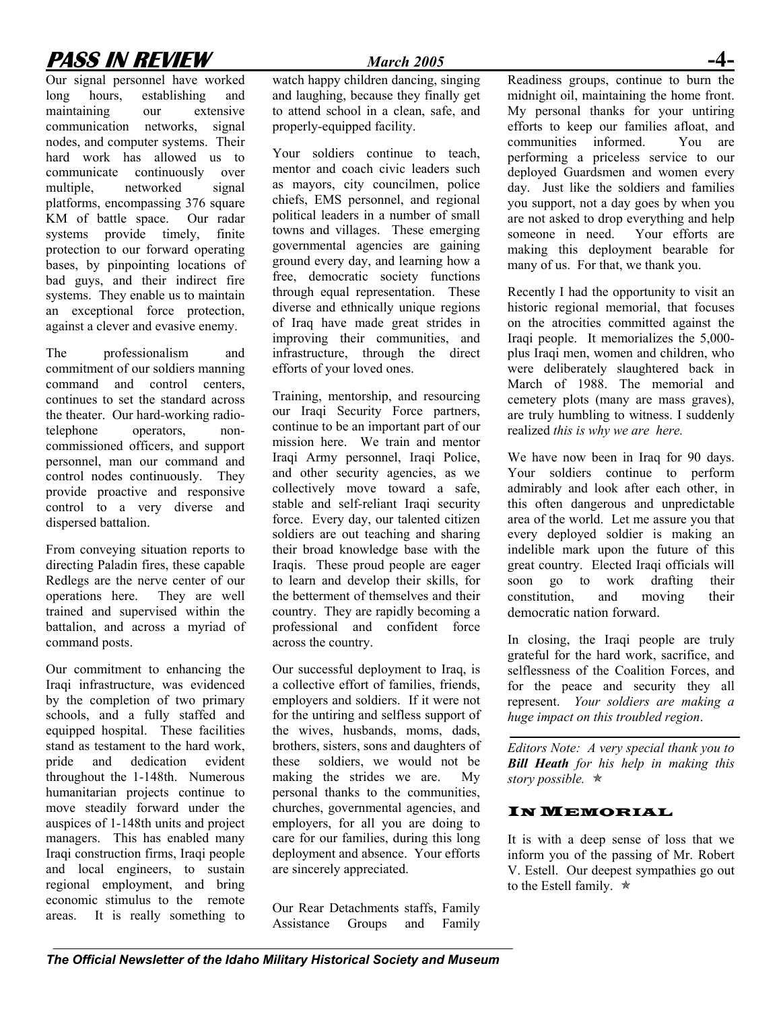## **PASS IN REVIEW** *March 2005*

Our signal personnel have worked long hours, establishing and maintaining our extensive communication networks, signal nodes, and computer systems. Their hard work has allowed us to communicate continuously over multiple, networked signal platforms, encompassing 376 square KM of battle space. Our radar systems provide timely, finite protection to our forward operating bases, by pinpointing locations of bad guys, and their indirect fire systems. They enable us to maintain an exceptional force protection, against a clever and evasive enemy.

The professionalism and commitment of our soldiers manning command and control centers, continues to set the standard across the theater. Our hard-working radiotelephone operators, noncommissioned officers, and support personnel, man our command and control nodes continuously. They provide proactive and responsive control to a very diverse and dispersed battalion.

From conveying situation reports to directing Paladin fires, these capable Redlegs are the nerve center of our operations here. They are well trained and supervised within the battalion, and across a myriad of command posts.

Our commitment to enhancing the Iraqi infrastructure, was evidenced by the completion of two primary schools, and a fully staffed and equipped hospital. These facilities stand as testament to the hard work, pride and dedication evident throughout the 1-148th. Numerous humanitarian projects continue to move steadily forward under the auspices of 1-148th units and project managers. This has enabled many Iraqi construction firms, Iraqi people and local engineers, to sustain regional employment, and bring economic stimulus to the remote areas. It is really something to

watch happy children dancing, singing and laughing, because they finally get to attend school in a clean, safe, and properly-equipped facility.

Your soldiers continue to teach, mentor and coach civic leaders such as mayors, city councilmen, police chiefs, EMS personnel, and regional political leaders in a number of small towns and villages. These emerging governmental agencies are gaining ground every day, and learning how a free, democratic society functions through equal representation. These diverse and ethnically unique regions of Iraq have made great strides in improving their communities, and infrastructure, through the direct efforts of your loved ones.

Training, mentorship, and resourcing our Iraqi Security Force partners, continue to be an important part of our mission here. We train and mentor Iraqi Army personnel, Iraqi Police, and other security agencies, as we collectively move toward a safe, stable and self-reliant Iraqi security force. Every day, our talented citizen soldiers are out teaching and sharing their broad knowledge base with the Iraqis. These proud people are eager to learn and develop their skills, for the betterment of themselves and their country. They are rapidly becoming a professional and confident force across the country.

Our successful deployment to Iraq, is a collective effort of families, friends, employers and soldiers. If it were not for the untiring and selfless support of the wives, husbands, moms, dads, brothers, sisters, sons and daughters of these soldiers, we would not be making the strides we are. My personal thanks to the communities, churches, governmental agencies, and employers, for all you are doing to care for our families, during this long deployment and absence. Your efforts are sincerely appreciated.

Our Rear Detachments staffs, Family Assistance Groups and Family Readiness groups, continue to burn the midnight oil, maintaining the home front. My personal thanks for your untiring efforts to keep our families afloat, and communities informed. You are performing a priceless service to our deployed Guardsmen and women every day. Just like the soldiers and families you support, not a day goes by when you are not asked to drop everything and help someone in need. Your efforts are making this deployment bearable for many of us. For that, we thank you.

Recently I had the opportunity to visit an historic regional memorial, that focuses on the atrocities committed against the Iraqi people. It memorializes the 5,000 plus Iraqi men, women and children, who were deliberately slaughtered back in March of 1988. The memorial and cemetery plots (many are mass graves), are truly humbling to witness. I suddenly realized *this is why we are here.* 

We have now been in Iraq for 90 days. Your soldiers continue to perform admirably and look after each other, in this often dangerous and unpredictable area of the world. Let me assure you that every deployed soldier is making an indelible mark upon the future of this great country. Elected Iraqi officials will soon go to work drafting their constitution, and moving their democratic nation forward.

In closing, the Iraqi people are truly grateful for the hard work, sacrifice, and selflessness of the Coalition Forces, and for the peace and security they all represent. *Your soldiers are making a huge impact on this troubled region*.

*Editors Note: A very special thank you to Bill Heath for his help in making this*  story possible.  $\star$ 

#### IN MEMORIAL

It is with a deep sense of loss that we inform you of the passing of Mr. Robert V. Estell. Our deepest sympathies go out to the Estell family.  $\star$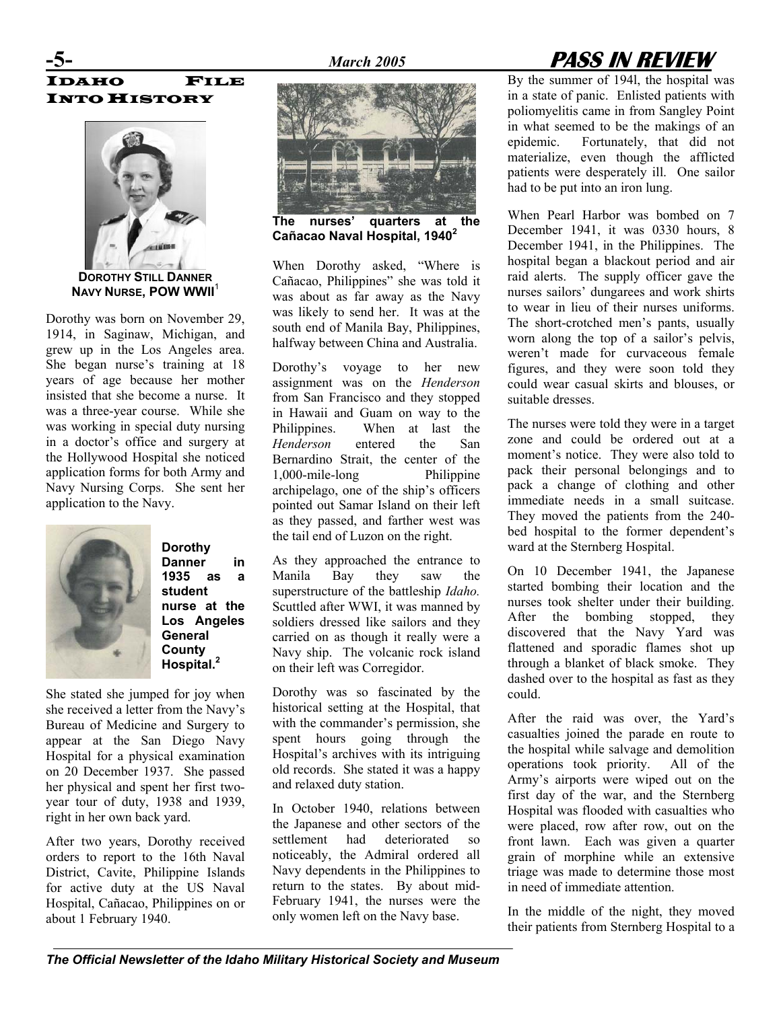## **-5-** *March 2005* **PASS IN REVIEW**

## IDAHO FILE INTO HISTORY



**DOROTHY STILL DANNER NAVY NURSE, POW WWII**<sup>1</sup>

Dorothy was born on November 29, 1914, in Saginaw, Michigan, and grew up in the Los Angeles area. She began nurse's training at 18 years of age because her mother insisted that she become a nurse. It was a three-year course. While she was working in special duty nursing in a doctor's office and surgery at the Hollywood Hospital she noticed application forms for both Army and Navy Nursing Corps. She sent her application to the Navy.



**Dorothy Danner in 1935 as a student nurse at the Los Angeles General County Hospital.2**

She stated she jumped for joy when she received a letter from the Navy's Bureau of Medicine and Surgery to appear at the San Diego Navy Hospital for a physical examination on 20 December 1937. She passed her physical and spent her first twoyear tour of duty, 1938 and 1939, right in her own back yard.

After two years, Dorothy received orders to report to the 16th Naval District, Cavite, Philippine Islands for active duty at the US Naval Hospital, Cañacao, Philippines on or about 1 February 1940.



**The nurses' quarters at the Cañacao Naval Hospital, 1940<sup>2</sup>**

When Dorothy asked, "Where is Cañacao, Philippines" she was told it was about as far away as the Navy was likely to send her. It was at the south end of Manila Bay, Philippines, halfway between China and Australia.

Dorothy's voyage to her new assignment was on the *Henderson* from San Francisco and they stopped in Hawaii and Guam on way to the Philippines. When at last the *Henderson* entered the San Bernardino Strait, the center of the 1,000-mile-long Philippine archipelago, one of the ship's officers pointed out Samar Island on their left as they passed, and farther west was the tail end of Luzon on the right.

As they approached the entrance to Manila Bay they saw the superstructure of the battleship *Idaho.*  Scuttled after WWI, it was manned by soldiers dressed like sailors and they carried on as though it really were a Navy ship. The volcanic rock island on their left was Corregidor.

Dorothy was so fascinated by the could historical setting at the Hospital, that with the commander's permission, she spent hours going through the Hospital's archives with its intriguing old records. She stated it was a happy and relaxed duty station.

In October 1940, relations between the Japanese and other sectors of the settlement had deteriorated so noticeably, the Admiral ordered all Navy dependents in the Philippines to return to the states. By about mid-February 1941, the nurses were the By the summer of 194l, the hospital was in a state of panic. Enlisted patients with poliomyelitis came in from Sangley Point in what seemed to be the makings of an epidemic. Fortunately, that did not materialize, even though the afflicted patients were desperately ill. One sailor had to be put into an iron lung.

When Pearl Harbor was bombed on 7 December 1941, it was 0330 hours, 8 December 1941, in the Philippines. The hospital began a blackout period and air raid alerts. The supply officer gave the nurses sailors' dungarees and work shirts to wear in lieu of their nurses uniforms. The short-crotched men's pants, usually worn along the top of a sailor's pelvis, weren't made for curvaceous female figures, and they were soon told they could wear casual skirts and blouses, or suitable dresses.

The nurses were told they were in a target zone and could be ordered out at a moment's notice. They were also told to pack their personal belongings and to pack a change of clothing and other immediate needs in a small suitcase. They moved the patients from the 240 bed hospital to the former dependent's ward at the Sternberg Hospital.

On 10 December 1941, the Japanese started bombing their location and the nurses took shelter under their building. After the bombing stopped, they discovered that the Navy Yard was flattened and sporadic flames shot up through a blanket of black smoke. They dashed over to the hospital as fast as they

After the raid was over, the Yard's casualties joined the parade en route to the hospital while salvage and demolition operations took priority. All of the Army's airports were wiped out on the first day of the war, and the Sternberg Hospital was flooded with casualties who were placed, row after row, out on the front lawn. Each was given a quarter grain of morphine while an extensive triage was made to determine those most in need of immediate attention.

only women left on the Navy base. In the middle of the night, they moved their patients from Sternberg Hospital to a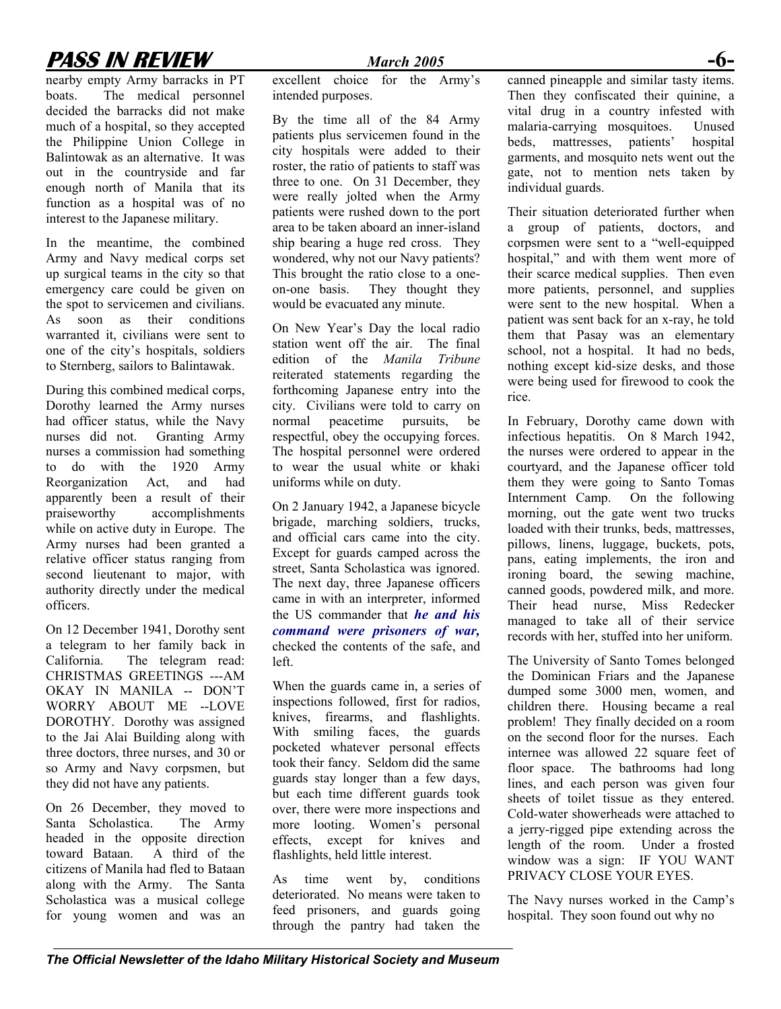## **PASS IN REVIEW** *March 2005* **-6-**

nearby empty Army barracks in PT boats. The medical personnel decided the barracks did not make much of a hospital, so they accepted the Philippine Union College in Balintowak as an alternative. It was out in the countryside and far enough north of Manila that its function as a hospital was of no interest to the Japanese military.

In the meantime, the combined Army and Navy medical corps set up surgical teams in the city so that emergency care could be given on the spot to servicemen and civilians. As soon as their conditions warranted it, civilians were sent to one of the city's hospitals, soldiers to Sternberg, sailors to Balintawak.

During this combined medical corps, Dorothy learned the Army nurses had officer status, while the Navy nurses did not. Granting Army nurses a commission had something to do with the 1920 Army Reorganization Act, and had apparently been a result of their praiseworthy accomplishments while on active duty in Europe. The Army nurses had been granted a relative officer status ranging from second lieutenant to major, with authority directly under the medical officers.

On 12 December 1941, Dorothy sent a telegram to her family back in California. The telegram read: CHRISTMAS GREETINGS ---AM OKAY IN MANILA -- DON'T WORRY ABOUT ME --LOVE DOROTHY. Dorothy was assigned to the Jai Alai Building along with three doctors, three nurses, and 30 or so Army and Navy corpsmen, but they did not have any patients.

On 26 December, they moved to Santa Scholastica. The Army headed in the opposite direction toward Bataan. A third of the citizens of Manila had fled to Bataan along with the Army. The Santa Scholastica was a musical college for young women and was an

excellent choice for the Army's intended purposes.

By the time all of the 84 Army patients plus servicemen found in the city hospitals were added to their roster, the ratio of patients to staff was three to one. On 31 December, they were really jolted when the Army patients were rushed down to the port area to be taken aboard an inner-island ship bearing a huge red cross. They wondered, why not our Navy patients? This brought the ratio close to a oneon-one basis. They thought they would be evacuated any minute.

On New Year's Day the local radio station went off the air. The final edition of the *Manila Tribune* reiterated statements regarding the forthcoming Japanese entry into the city. Civilians were told to carry on normal peacetime pursuits, be respectful, obey the occupying forces. The hospital personnel were ordered to wear the usual white or khaki uniforms while on duty.

On 2 January 1942, a Japanese bicycle brigade, marching soldiers, trucks, and official cars came into the city. Except for guards camped across the street, Santa Scholastica was ignored. The next day, three Japanese officers came in with an interpreter, informed the US commander that *he and his command were prisoners of war,* checked the contents of the safe, and left.

When the guards came in, a series of inspections followed, first for radios, knives, firearms, and flashlights. With smiling faces, the guards pocketed whatever personal effects took their fancy. Seldom did the same guards stay longer than a few days, but each time different guards took over, there were more inspections and more looting. Women's personal effects, except for knives and flashlights, held little interest.

As time went by, conditions deteriorated. No means were taken to feed prisoners, and guards going through the pantry had taken the canned pineapple and similar tasty items. Then they confiscated their quinine, a vital drug in a country infested with malaria-carrying mosquitoes. Unused beds, mattresses, patients' hospital garments, and mosquito nets went out the gate, not to mention nets taken by individual guards.

Their situation deteriorated further when a group of patients, doctors, and corpsmen were sent to a "well-equipped hospital," and with them went more of their scarce medical supplies. Then even more patients, personnel, and supplies were sent to the new hospital. When a patient was sent back for an x-ray, he told them that Pasay was an elementary school, not a hospital. It had no beds, nothing except kid-size desks, and those were being used for firewood to cook the rice.

In February, Dorothy came down with infectious hepatitis. On 8 March 1942, the nurses were ordered to appear in the courtyard, and the Japanese officer told them they were going to Santo Tomas Internment Camp. On the following morning, out the gate went two trucks loaded with their trunks, beds, mattresses, pillows, linens, luggage, buckets, pots, pans, eating implements, the iron and ironing board, the sewing machine, canned goods, powdered milk, and more. Their head nurse, Miss Redecker managed to take all of their service records with her, stuffed into her uniform.

The University of Santo Tomes belonged the Dominican Friars and the Japanese dumped some 3000 men, women, and children there. Housing became a real problem! They finally decided on a room on the second floor for the nurses. Each internee was allowed 22 square feet of floor space. The bathrooms had long lines, and each person was given four sheets of toilet tissue as they entered. Cold-water showerheads were attached to a jerry-rigged pipe extending across the length of the room. Under a frosted window was a sign: IF YOU WANT PRIVACY CLOSE YOUR EYES.

The Navy nurses worked in the Camp's hospital. They soon found out why no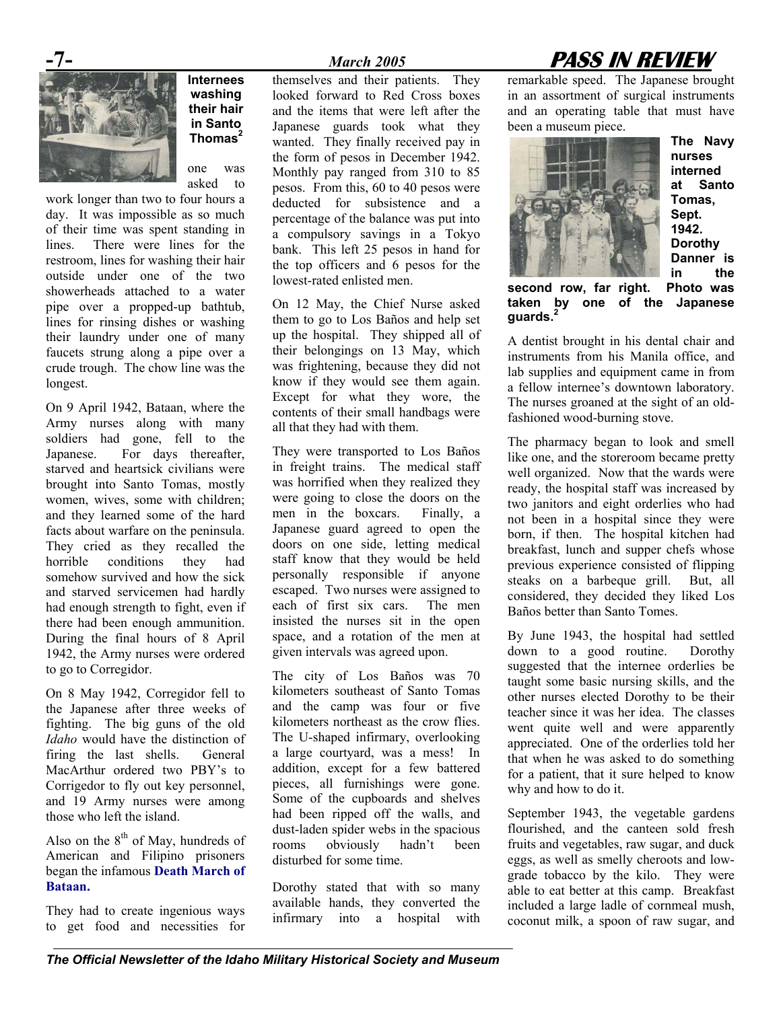

**Internees washing their hair in Santo Thomas**<sup>2</sup>

one was asked to

work longer than two to four hours a day. It was impossible as so much of their time was spent standing in lines. There were lines for the restroom, lines for washing their hair outside under one of the two showerheads attached to a water pipe over a propped-up bathtub, lines for rinsing dishes or washing their laundry under one of many faucets strung along a pipe over a crude trough. The chow line was the longest.

On 9 April 1942, Bataan, where the Army nurses along with many soldiers had gone, fell to the Japanese. For days thereafter, starved and heartsick civilians were brought into Santo Tomas, mostly women, wives, some with children; and they learned some of the hard facts about warfare on the peninsula. They cried as they recalled the horrible conditions they had somehow survived and how the sick and starved servicemen had hardly had enough strength to fight, even if there had been enough ammunition. During the final hours of 8 April 1942, the Army nurses were ordered to go to Corregidor.

On 8 May 1942, Corregidor fell to the Japanese after three weeks of fighting. The big guns of the old *Idaho* would have the distinction of firing the last shells. General MacArthur ordered two PBY's to Corrigedor to fly out key personnel, and 19 Army nurses were among those who left the island.

Also on the  $8<sup>th</sup>$  of May, hundreds of American and Filipino prisoners began the infamous **Death March of Bataan.** 

They had to create ingenious ways to get food and necessities for

themselves and their patients. They looked forward to Red Cross boxes and the items that were left after the Japanese guards took what they wanted. They finally received pay in the form of pesos in December 1942. Monthly pay ranged from 310 to 85 pesos. From this, 60 to 40 pesos were deducted for subsistence and a percentage of the balance was put into a compulsory savings in a Tokyo bank. This left 25 pesos in hand for the top officers and 6 pesos for the

On 12 May, the Chief Nurse asked them to go to Los Baños and help set up the hospital. They shipped all of their belongings on 13 May, which was frightening, because they did not know if they would see them again. Except for what they wore, the contents of their small handbags were all that they had with them.

lowest-rated enlisted men.

They were transported to Los Baños in freight trains. The medical staff was horrified when they realized they were going to close the doors on the men in the boxcars. Finally, a Japanese guard agreed to open the doors on one side, letting medical staff know that they would be held personally responsible if anyone escaped. Two nurses were assigned to each of first six cars. The men insisted the nurses sit in the open space, and a rotation of the men at given intervals was agreed upon.

The city of Los Baños was 70 kilometers southeast of Santo Tomas and the camp was four or five kilometers northeast as the crow flies. The U-shaped infirmary, overlooking a large courtyard, was a mess! In addition, except for a few battered pieces, all furnishings were gone. Some of the cupboards and shelves had been ripped off the walls, and dust-laden spider webs in the spacious rooms obviously hadn't been disturbed for some time.

Dorothy stated that with so many available hands, they converted the infirmary into a hospital with

## **-7-** *March 2005* **PASS IN REVIEW**

remarkable speed. The Japanese brought in an assortment of surgical instruments and an operating table that must have been a museum piece.



**The Navy nurses interned at Santo Tomas, Sept. 1942. Dorothy Danner is in the** 

**second row, far right. Photo was taken by one of the Japanese guards.2**

A dentist brought in his dental chair and instruments from his Manila office, and lab supplies and equipment came in from a fellow internee's downtown laboratory. The nurses groaned at the sight of an oldfashioned wood-burning stove.

The pharmacy began to look and smell like one, and the storeroom became pretty well organized. Now that the wards were ready, the hospital staff was increased by two janitors and eight orderlies who had not been in a hospital since they were born, if then. The hospital kitchen had breakfast, lunch and supper chefs whose previous experience consisted of flipping steaks on a barbeque grill. But, all considered, they decided they liked Los Baños better than Santo Tomes.

By June 1943, the hospital had settled down to a good routine. Dorothy suggested that the internee orderlies be taught some basic nursing skills, and the other nurses elected Dorothy to be their teacher since it was her idea. The classes went quite well and were apparently appreciated. One of the orderlies told her that when he was asked to do something for a patient, that it sure helped to know why and how to do it.

September 1943, the vegetable gardens flourished, and the canteen sold fresh fruits and vegetables, raw sugar, and duck eggs, as well as smelly cheroots and lowgrade tobacco by the kilo. They were able to eat better at this camp. Breakfast included a large ladle of cornmeal mush, coconut milk, a spoon of raw sugar, and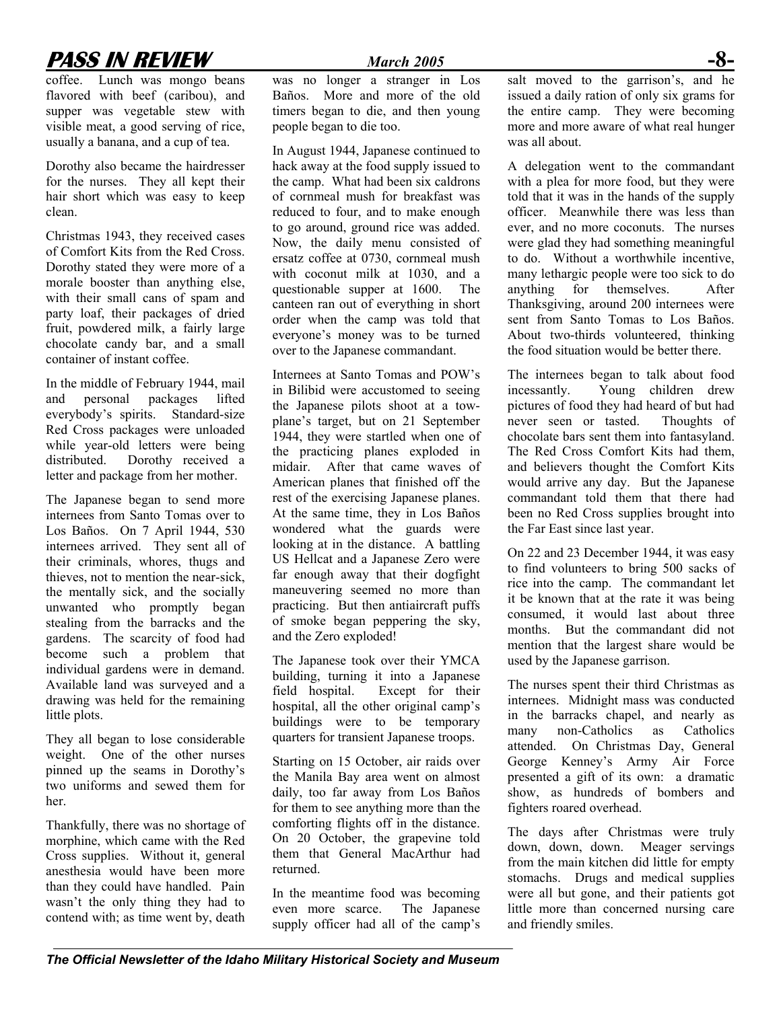## **PASS IN REVIEW** *March 2005* **-8-**

coffee. Lunch was mongo beans flavored with beef (caribou), and supper was vegetable stew with visible meat, a good serving of rice, usually a banana, and a cup of tea.

Dorothy also became the hairdresser for the nurses. They all kept their hair short which was easy to keep clean.

Christmas 1943, they received cases of Comfort Kits from the Red Cross. Dorothy stated they were more of a morale booster than anything else, with their small cans of spam and party loaf, their packages of dried fruit, powdered milk, a fairly large chocolate candy bar, and a small container of instant coffee.

In the middle of February 1944, mail and personal packages lifted everybody's spirits. Standard-size Red Cross packages were unloaded while year-old letters were being<br>distributed. Dorothy received a Dorothy received a letter and package from her mother.

The Japanese began to send more internees from Santo Tomas over to Los Baños. On 7 April 1944, 530 internees arrived. They sent all of their criminals, whores, thugs and thieves, not to mention the near-sick, the mentally sick, and the socially unwanted who promptly began stealing from the barracks and the gardens. The scarcity of food had become such a problem that individual gardens were in demand. Available land was surveyed and a drawing was held for the remaining little plots.

They all began to lose considerable weight. One of the other nurses pinned up the seams in Dorothy's two uniforms and sewed them for her.

Thankfully, there was no shortage of morphine, which came with the Red Cross supplies. Without it, general anesthesia would have been more than they could have handled. Pain wasn't the only thing they had to contend with; as time went by, death

was no longer a stranger in Los Baños. More and more of the old timers began to die, and then young people began to die too.

In August 1944, Japanese continued to hack away at the food supply issued to the camp. What had been six caldrons of cornmeal mush for breakfast was reduced to four, and to make enough to go around, ground rice was added. Now, the daily menu consisted of ersatz coffee at 0730, cornmeal mush with coconut milk at 1030, and a questionable supper at 1600. The canteen ran out of everything in short order when the camp was told that everyone's money was to be turned over to the Japanese commandant.

Internees at Santo Tomas and POW's in Bilibid were accustomed to seeing the Japanese pilots shoot at a towplane's target, but on 21 September 1944, they were startled when one of the practicing planes exploded in midair. After that came waves of American planes that finished off the rest of the exercising Japanese planes. At the same time, they in Los Baños wondered what the guards were looking at in the distance. A battling US Hellcat and a Japanese Zero were far enough away that their dogfight maneuvering seemed no more than practicing. But then antiaircraft puffs of smoke began peppering the sky, and the Zero exploded!

The Japanese took over their YMCA building, turning it into a Japanese field hospital. Except for their hospital, all the other original camp's buildings were to be temporary quarters for transient Japanese troops.

Starting on 15 October, air raids over the Manila Bay area went on almost daily, too far away from Los Baños for them to see anything more than the comforting flights off in the distance. On 20 October, the grapevine told them that General MacArthur had returned.

In the meantime food was becoming even more scarce. The Japanese supply officer had all of the camp's salt moved to the garrison's, and he issued a daily ration of only six grams for the entire camp. They were becoming more and more aware of what real hunger was all about.

A delegation went to the commandant with a plea for more food, but they were told that it was in the hands of the supply officer. Meanwhile there was less than ever, and no more coconuts. The nurses were glad they had something meaningful to do. Without a worthwhile incentive, many lethargic people were too sick to do anything for themselves. After Thanksgiving, around 200 internees were sent from Santo Tomas to Los Baños. About two-thirds volunteered, thinking the food situation would be better there.

The internees began to talk about food incessantly. Young children drew pictures of food they had heard of but had never seen or tasted. Thoughts of chocolate bars sent them into fantasyland. The Red Cross Comfort Kits had them, and believers thought the Comfort Kits would arrive any day. But the Japanese commandant told them that there had been no Red Cross supplies brought into the Far East since last year.

On 22 and 23 December 1944, it was easy to find volunteers to bring 500 sacks of rice into the camp. The commandant let it be known that at the rate it was being consumed, it would last about three months. But the commandant did not mention that the largest share would be used by the Japanese garrison.

The nurses spent their third Christmas as internees. Midnight mass was conducted in the barracks chapel, and nearly as many non-Catholics as Catholics attended. On Christmas Day, General George Kenney's Army Air Force presented a gift of its own: a dramatic show, as hundreds of bombers and fighters roared overhead.

The days after Christmas were truly down, down, down. Meager servings from the main kitchen did little for empty stomachs. Drugs and medical supplies were all but gone, and their patients got little more than concerned nursing care and friendly smiles.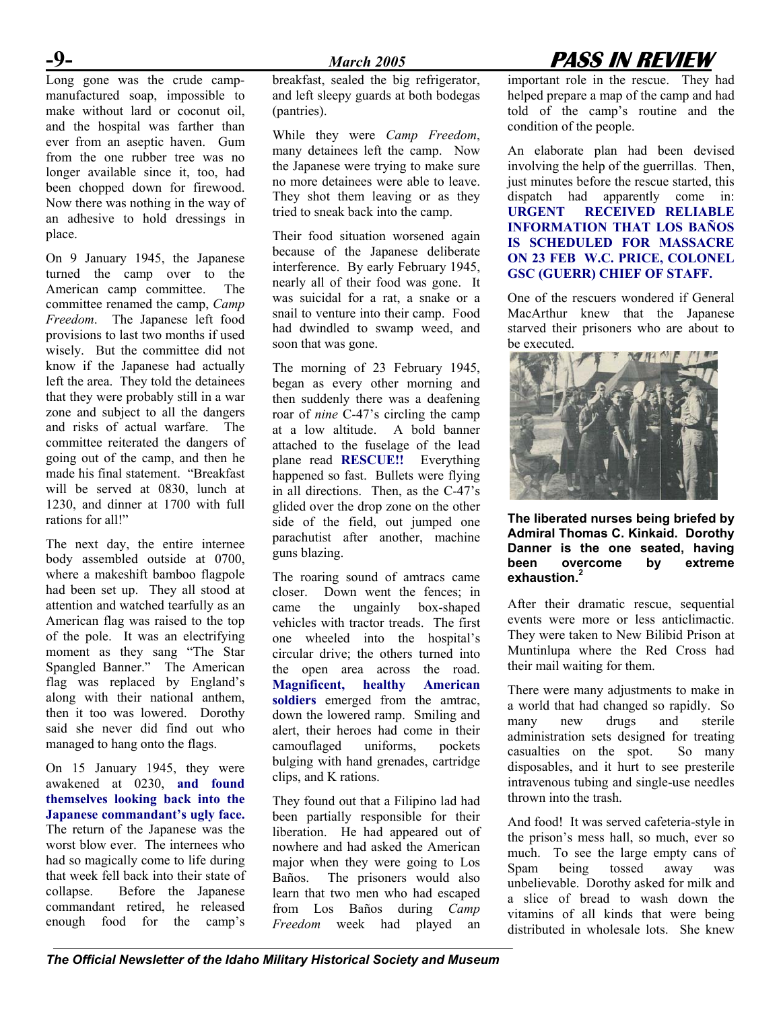$-9-$ <br>Long gone was the crude campmanufactured soap, impossible to make without lard or coconut oil, and the hospital was farther than ever from an aseptic haven. Gum from the one rubber tree was no longer available since it, too, had been chopped down for firewood. Now there was nothing in the way of an adhesive to hold dressings in place.

On 9 January 1945, the Japanese turned the camp over to the American camp committee. The committee renamed the camp, *Camp Freedom*. The Japanese left food provisions to last two months if used wisely. But the committee did not know if the Japanese had actually left the area. They told the detainees that they were probably still in a war zone and subject to all the dangers and risks of actual warfare. The committee reiterated the dangers of going out of the camp, and then he made his final statement. "Breakfast will be served at 0830, lunch at 1230, and dinner at 1700 with full rations for all!"

The next day, the entire internee body assembled outside at 0700, where a makeshift bamboo flagpole had been set up. They all stood at attention and watched tearfully as an American flag was raised to the top of the pole. It was an electrifying moment as they sang "The Star Spangled Banner." The American flag was replaced by England's along with their national anthem, then it too was lowered. Dorothy said she never did find out who managed to hang onto the flags.

On 15 January 1945, they were awakened at 0230, **and found themselves looking back into the Japanese commandant's ugly face.** The return of the Japanese was the worst blow ever. The internees who had so magically come to life during that week fell back into their state of collapse. Before the Japanese commandant retired, he released enough food for the camp's

breakfast, sealed the big refrigerator, and left sleepy guards at both bodegas (pantries).

While they were *Camp Freedom*, many detainees left the camp. Now the Japanese were trying to make sure no more detainees were able to leave. They shot them leaving or as they tried to sneak back into the camp.

Their food situation worsened again because of the Japanese deliberate interference. By early February 1945, nearly all of their food was gone. It was suicidal for a rat, a snake or a snail to venture into their camp. Food had dwindled to swamp weed, and soon that was gone.

The morning of 23 February 1945, began as every other morning and then suddenly there was a deafening roar of *nine* C-47's circling the camp at a low altitude. A bold banner attached to the fuselage of the lead plane read **RESCUE!!** Everything happened so fast. Bullets were flying in all directions. Then, as the C-47's glided over the drop zone on the other side of the field, out jumped one parachutist after another, machine guns blazing.

The roaring sound of amtracs came closer. Down went the fences; in came the ungainly box-shaped vehicles with tractor treads. The first one wheeled into the hospital's circular drive; the others turned into the open area across the road. **Magnificent, healthy American soldiers** emerged from the amtrac, down the lowered ramp. Smiling and alert, their heroes had come in their camouflaged uniforms, pockets bulging with hand grenades, cartridge clips, and K rations.

They found out that a Filipino lad had been partially responsible for their liberation. He had appeared out of nowhere and had asked the American major when they were going to Los Baños. The prisoners would also learn that two men who had escaped from Los Baños during *Camp Freedom* week had played an

## **-9-** *March 2005* **PASS IN REVIEW**

important role in the rescue. They had helped prepare a map of the camp and had told of the camp's routine and the condition of the people.

An elaborate plan had been devised involving the help of the guerrillas. Then, just minutes before the rescue started, this dispatch had apparently come in: **URGENT RECEIVED RELIABLE INFORMATION THAT LOS BAÑOS IS SCHEDULED FOR MASSACRE ON 23 FEB W.C. PRICE, COLONEL GSC (GUERR) CHIEF OF STAFF.** 

One of the rescuers wondered if General MacArthur knew that the Japanese starved their prisoners who are about to be executed.



#### **The liberated nurses being briefed by Admiral Thomas C. Kinkaid. Dorothy Danner is the one seated, having been overcome by extreme exhaustion.2**

After their dramatic rescue, sequential events were more or less anticlimactic. They were taken to New Bilibid Prison at Muntinlupa where the Red Cross had their mail waiting for them.

There were many adjustments to make in a world that had changed so rapidly. So many new drugs and sterile administration sets designed for treating casualties on the spot. So many disposables, and it hurt to see presterile intravenous tubing and single-use needles thrown into the trash.

And food! It was served cafeteria-style in the prison's mess hall, so much, ever so much. To see the large empty cans of Spam being tossed away was unbelievable. Dorothy asked for milk and a slice of bread to wash down the vitamins of all kinds that were being distributed in wholesale lots. She knew